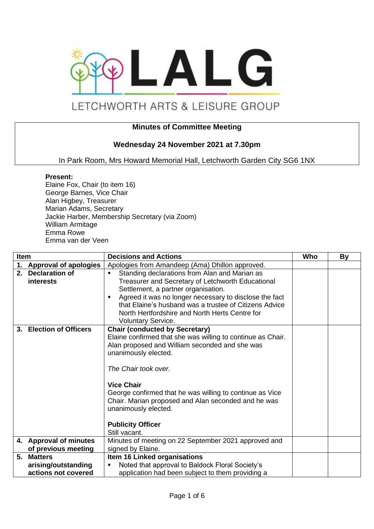

# LETCHWORTH ARTS & LEISURE GROUP

## **Minutes of Committee Meeting**

### **Wednesday 24 November 2021 at 7.30pm**

In Park Room, Mrs Howard Memorial Hall, Letchworth Garden City SG6 1NX

#### **Present:**

Elaine Fox, Chair (to item 16) George Barnes, Vice Chair Alan Higbey, Treasurer Marian Adams, Secretary Jackie Harber, Membership Secretary (via Zoom) William Armitage Emma Rowe Emma van der Veen

| <b>Item</b> |                                       | <b>Decisions and Actions</b>                                                                                                                                                                                                                                                                                                                                                                                        | Who | By |
|-------------|---------------------------------------|---------------------------------------------------------------------------------------------------------------------------------------------------------------------------------------------------------------------------------------------------------------------------------------------------------------------------------------------------------------------------------------------------------------------|-----|----|
| 1.          | <b>Approval of apologies</b>          | Apologies from Amandeep (Ama) Dhillon approved.                                                                                                                                                                                                                                                                                                                                                                     |     |    |
|             | 2. Declaration of<br><i>interests</i> | Standing declarations from Alan and Marian as<br>Treasurer and Secretary of Letchworth Educational<br>Settlement, a partner organisation.<br>Agreed it was no longer necessary to disclose the fact<br>п<br>that Elaine's husband was a trustee of Citizens Advice<br>North Hertfordshire and North Herts Centre for<br><b>Voluntary Service.</b>                                                                   |     |    |
|             | 3. Election of Officers               | <b>Chair (conducted by Secretary)</b><br>Elaine confirmed that she was willing to continue as Chair.<br>Alan proposed and William seconded and she was<br>unanimously elected.<br>The Chair took over.<br><b>Vice Chair</b><br>George confirmed that he was willing to continue as Vice<br>Chair. Marian proposed and Alan seconded and he was<br>unanimously elected.<br><b>Publicity Officer</b><br>Still vacant. |     |    |
|             | 4. Approval of minutes                | Minutes of meeting on 22 September 2021 approved and                                                                                                                                                                                                                                                                                                                                                                |     |    |
|             | of previous meeting                   | signed by Elaine.                                                                                                                                                                                                                                                                                                                                                                                                   |     |    |
|             | 5. Matters                            | Item 16 Linked organisations                                                                                                                                                                                                                                                                                                                                                                                        |     |    |
|             | arising/outstanding                   | Noted that approval to Baldock Floral Society's                                                                                                                                                                                                                                                                                                                                                                     |     |    |
|             | actions not covered                   | application had been subject to them providing a                                                                                                                                                                                                                                                                                                                                                                    |     |    |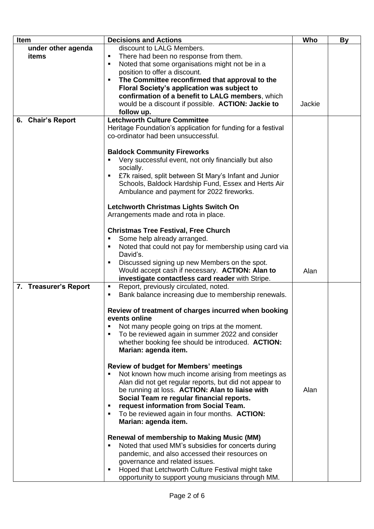| Item                  | <b>Decisions and Actions</b>                                                                          | Who    | <b>By</b> |
|-----------------------|-------------------------------------------------------------------------------------------------------|--------|-----------|
| under other agenda    | discount to LALG Members.                                                                             |        |           |
| items                 | There had been no response from them.<br>٠                                                            |        |           |
|                       | Noted that some organisations might not be in a<br>٠                                                  |        |           |
|                       | position to offer a discount.                                                                         |        |           |
|                       | The Committee reconfirmed that approval to the                                                        |        |           |
|                       | Floral Society's application was subject to                                                           |        |           |
|                       | confirmation of a benefit to LALG members, which                                                      |        |           |
|                       | would be a discount if possible. ACTION: Jackie to                                                    | Jackie |           |
|                       | follow up.                                                                                            |        |           |
| 6. Chair's Report     | <b>Letchworth Culture Committee</b>                                                                   |        |           |
|                       | Heritage Foundation's application for funding for a festival                                          |        |           |
|                       | co-ordinator had been unsuccessful.                                                                   |        |           |
|                       |                                                                                                       |        |           |
|                       | <b>Baldock Community Fireworks</b>                                                                    |        |           |
|                       | Very successful event, not only financially but also                                                  |        |           |
|                       | socially.                                                                                             |        |           |
|                       | £7k raised, split between St Mary's Infant and Junior                                                 |        |           |
|                       | Schools, Baldock Hardship Fund, Essex and Herts Air                                                   |        |           |
|                       | Ambulance and payment for 2022 fireworks.                                                             |        |           |
|                       |                                                                                                       |        |           |
|                       | Letchworth Christmas Lights Switch On                                                                 |        |           |
|                       | Arrangements made and rota in place.                                                                  |        |           |
|                       |                                                                                                       |        |           |
|                       | <b>Christmas Tree Festival, Free Church</b>                                                           |        |           |
|                       | Some help already arranged.<br>٠                                                                      |        |           |
|                       | Noted that could not pay for membership using card via<br>David's.                                    |        |           |
|                       | Discussed signing up new Members on the spot.                                                         |        |           |
|                       | Would accept cash if necessary. ACTION: Alan to                                                       |        |           |
|                       | investigate contactless card reader with Stripe.                                                      | Alan   |           |
| 7. Treasurer's Report | Report, previously circulated, noted.<br>п                                                            |        |           |
|                       | Bank balance increasing due to membership renewals.<br>٠                                              |        |           |
|                       |                                                                                                       |        |           |
|                       | Review of treatment of charges incurred when booking                                                  |        |           |
|                       | events online                                                                                         |        |           |
|                       | Not many people going on trips at the moment.                                                         |        |           |
|                       | To be reviewed again in summer 2022 and consider                                                      |        |           |
|                       | whether booking fee should be introduced. ACTION:                                                     |        |           |
|                       | Marian: agenda item.                                                                                  |        |           |
|                       |                                                                                                       |        |           |
|                       | <b>Review of budget for Members' meetings</b>                                                         |        |           |
|                       | Not known how much income arising from meetings as                                                    |        |           |
|                       | Alan did not get regular reports, but did not appear to                                               |        |           |
|                       | be running at loss. ACTION: Alan to liaise with                                                       | Alan   |           |
|                       | Social Team re regular financial reports.                                                             |        |           |
|                       | request information from Social Team.                                                                 |        |           |
|                       | To be reviewed again in four months. ACTION:<br>٠                                                     |        |           |
|                       | Marian: agenda item.                                                                                  |        |           |
|                       |                                                                                                       |        |           |
|                       | <b>Renewal of membership to Making Music (MM)</b>                                                     |        |           |
|                       | Noted that used MM's subsidies for concerts during                                                    |        |           |
|                       | pandemic, and also accessed their resources on                                                        |        |           |
|                       | governance and related issues.<br>Hoped that Letchworth Culture Festival might take<br>$\blacksquare$ |        |           |
|                       | opportunity to support young musicians through MM.                                                    |        |           |
|                       |                                                                                                       |        |           |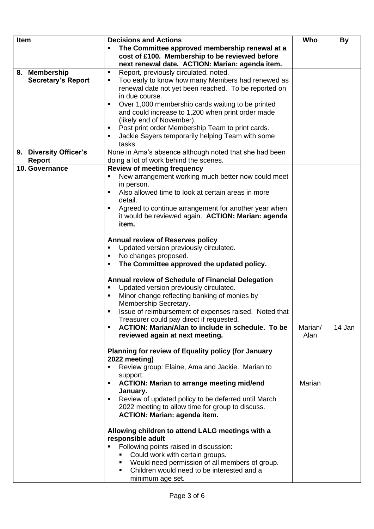| Item                      | <b>Decisions and Actions</b>                                                                                                                        | Who     | By     |
|---------------------------|-----------------------------------------------------------------------------------------------------------------------------------------------------|---------|--------|
|                           | The Committee approved membership renewal at a<br>cost of £100. Membership to be reviewed before<br>next renewal date. ACTION: Marian: agenda item. |         |        |
| 8. Membership             | Report, previously circulated, noted.<br>п                                                                                                          |         |        |
| <b>Secretary's Report</b> | Too early to know how many Members had renewed as<br>٠                                                                                              |         |        |
|                           | renewal date not yet been reached. To be reported on                                                                                                |         |        |
|                           | in due course.                                                                                                                                      |         |        |
|                           | Over 1,000 membership cards waiting to be printed<br>п                                                                                              |         |        |
|                           | and could increase to 1,200 when print order made                                                                                                   |         |        |
|                           | (likely end of November).                                                                                                                           |         |        |
|                           | Post print order Membership Team to print cards.                                                                                                    |         |        |
|                           | Jackie Sayers temporarily helping Team with some<br>п                                                                                               |         |        |
|                           | tasks.                                                                                                                                              |         |        |
| 9. Diversity Officer's    | None in Ama's absence although noted that she had been                                                                                              |         |        |
| <b>Report</b>             | doing a lot of work behind the scenes.                                                                                                              |         |        |
| 10. Governance            | <b>Review of meeting frequency</b>                                                                                                                  |         |        |
|                           | New arrangement working much better now could meet<br>٠                                                                                             |         |        |
|                           | in person.<br>Also allowed time to look at certain areas in more                                                                                    |         |        |
|                           | detail.                                                                                                                                             |         |        |
|                           | Agreed to continue arrangement for another year when                                                                                                |         |        |
|                           | it would be reviewed again. ACTION: Marian: agenda                                                                                                  |         |        |
|                           | item.                                                                                                                                               |         |        |
|                           |                                                                                                                                                     |         |        |
|                           | <b>Annual review of Reserves policy</b>                                                                                                             |         |        |
|                           | Updated version previously circulated.<br>٠                                                                                                         |         |        |
|                           | No changes proposed.<br>$\blacksquare$                                                                                                              |         |        |
|                           | The Committee approved the updated policy.<br>п                                                                                                     |         |        |
|                           |                                                                                                                                                     |         |        |
|                           | Annual review of Schedule of Financial Delegation<br>Updated version previously circulated.<br>п                                                    |         |        |
|                           | Minor change reflecting banking of monies by<br>п                                                                                                   |         |        |
|                           | Membership Secretary.                                                                                                                               |         |        |
|                           | Issue of reimbursement of expenses raised. Noted that<br>$\blacksquare$                                                                             |         |        |
|                           | Treasurer could pay direct if requested.                                                                                                            |         |        |
|                           | ACTION: Marian/Alan to include in schedule. To be<br>$\blacksquare$                                                                                 | Marian/ | 14 Jan |
|                           | reviewed again at next meeting.                                                                                                                     | Alan    |        |
|                           | Planning for review of Equality policy (for January                                                                                                 |         |        |
|                           | 2022 meeting)                                                                                                                                       |         |        |
|                           | Review group: Elaine, Ama and Jackie. Marian to<br>п                                                                                                |         |        |
|                           | support.                                                                                                                                            |         |        |
|                           | <b>ACTION: Marian to arrange meeting mid/end</b><br>$\blacksquare$                                                                                  | Marian  |        |
|                           | January.                                                                                                                                            |         |        |
|                           | Review of updated policy to be deferred until March<br>٠                                                                                            |         |        |
|                           | 2022 meeting to allow time for group to discuss.                                                                                                    |         |        |
|                           | <b>ACTION: Marian: agenda item.</b>                                                                                                                 |         |        |
|                           | Allowing children to attend LALG meetings with a                                                                                                    |         |        |
|                           | responsible adult                                                                                                                                   |         |        |
|                           | Following points raised in discussion:                                                                                                              |         |        |
|                           | Could work with certain groups.                                                                                                                     |         |        |
|                           | Would need permission of all members of group.                                                                                                      |         |        |
|                           | Children would need to be interested and a<br>п<br>minimum age set.                                                                                 |         |        |
|                           |                                                                                                                                                     |         |        |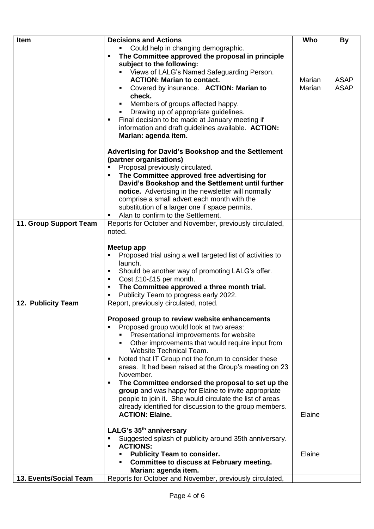| Item                   | <b>Decisions and Actions</b>                                                                              | Who    | By          |
|------------------------|-----------------------------------------------------------------------------------------------------------|--------|-------------|
|                        | Could help in changing demographic.                                                                       |        |             |
|                        | The Committee approved the proposal in principle<br>$\blacksquare$                                        |        |             |
|                        | subject to the following:                                                                                 |        |             |
|                        | Views of LALG's Named Safeguarding Person.                                                                |        |             |
|                        | <b>ACTION: Marian to contact.</b>                                                                         | Marian | <b>ASAP</b> |
|                        | Covered by insurance. ACTION: Marian to<br>check.                                                         | Marian | <b>ASAP</b> |
|                        | Members of groups affected happy.                                                                         |        |             |
|                        | Drawing up of appropriate guidelines.                                                                     |        |             |
|                        | Final decision to be made at January meeting if                                                           |        |             |
|                        | information and draft guidelines available. ACTION:                                                       |        |             |
|                        | Marian: agenda item.                                                                                      |        |             |
|                        | Advertising for David's Bookshop and the Settlement                                                       |        |             |
|                        | (partner organisations)                                                                                   |        |             |
|                        | Proposal previously circulated.                                                                           |        |             |
|                        | The Committee approved free advertising for                                                               |        |             |
|                        | David's Bookshop and the Settlement until further                                                         |        |             |
|                        | notice. Advertising in the newsletter will normally                                                       |        |             |
|                        | comprise a small advert each month with the                                                               |        |             |
|                        | substitution of a larger one if space permits.<br>Alan to confirm to the Settlement.                      |        |             |
| 11. Group Support Team | Reports for October and November, previously circulated,                                                  |        |             |
|                        | noted.                                                                                                    |        |             |
|                        |                                                                                                           |        |             |
|                        | Meetup app                                                                                                |        |             |
|                        | Proposed trial using a well targeted list of activities to                                                |        |             |
|                        | launch.                                                                                                   |        |             |
|                        | Should be another way of promoting LALG's offer.                                                          |        |             |
|                        | Cost £10-£15 per month.                                                                                   |        |             |
|                        | The Committee approved a three month trial.                                                               |        |             |
|                        | Publicity Team to progress early 2022.                                                                    |        |             |
| 12. Publicity Team     | Report, previously circulated, noted.                                                                     |        |             |
|                        | Proposed group to review website enhancements                                                             |        |             |
|                        | Proposed group would look at two areas:                                                                   |        |             |
|                        | Presentational improvements for website                                                                   |        |             |
|                        | Other improvements that would require input from                                                          |        |             |
|                        | Website Technical Team.                                                                                   |        |             |
|                        | Noted that IT Group not the forum to consider these                                                       |        |             |
|                        | areas. It had been raised at the Group's meeting on 23                                                    |        |             |
|                        | November.                                                                                                 |        |             |
|                        | The Committee endorsed the proposal to set up the<br>group and was happy for Elaine to invite appropriate |        |             |
|                        | people to join it. She would circulate the list of areas                                                  |        |             |
|                        | already identified for discussion to the group members.                                                   |        |             |
|                        | <b>ACTION: Elaine.</b>                                                                                    | Elaine |             |
|                        |                                                                                                           |        |             |
|                        | LALG's 35 <sup>th</sup> anniversary                                                                       |        |             |
|                        | Suggested splash of publicity around 35th anniversary.<br><b>ACTIONS:</b>                                 |        |             |
|                        | <b>Publicity Team to consider.</b>                                                                        | Elaine |             |
|                        | <b>Committee to discuss at February meeting.</b><br>٠                                                     |        |             |
|                        | Marian: agenda item.                                                                                      |        |             |
| 13. Events/Social Team | Reports for October and November, previously circulated,                                                  |        |             |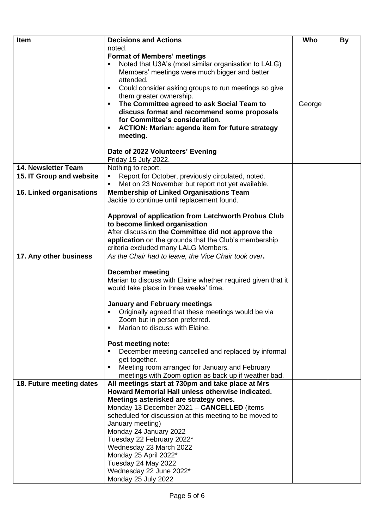| Item                     | <b>Decisions and Actions</b>                                                               | Who    | By |
|--------------------------|--------------------------------------------------------------------------------------------|--------|----|
|                          | noted.                                                                                     |        |    |
|                          | <b>Format of Members' meetings</b>                                                         |        |    |
|                          | Noted that U3A's (most similar organisation to LALG)                                       |        |    |
|                          | Members' meetings were much bigger and better                                              |        |    |
|                          | attended.                                                                                  |        |    |
|                          | Could consider asking groups to run meetings so give                                       |        |    |
|                          | them greater ownership.                                                                    |        |    |
|                          | The Committee agreed to ask Social Team to                                                 | George |    |
|                          | discuss format and recommend some proposals                                                |        |    |
|                          | for Committee's consideration.                                                             |        |    |
|                          | <b>ACTION: Marian: agenda item for future strategy</b>                                     |        |    |
|                          | meeting.                                                                                   |        |    |
|                          |                                                                                            |        |    |
|                          | Date of 2022 Volunteers' Evening<br>Friday 15 July 2022.                                   |        |    |
| 14. Newsletter Team      | Nothing to report.                                                                         |        |    |
| 15. IT Group and website | Report for October, previously circulated, noted.<br>$\blacksquare$                        |        |    |
|                          | Met on 23 November but report not yet available.                                           |        |    |
| 16. Linked organisations | <b>Membership of Linked Organisations Team</b>                                             |        |    |
|                          | Jackie to continue until replacement found.                                                |        |    |
|                          |                                                                                            |        |    |
|                          | Approval of application from Letchworth Probus Club                                        |        |    |
|                          | to become linked organisation                                                              |        |    |
|                          | After discussion the Committee did not approve the                                         |        |    |
|                          | application on the grounds that the Club's membership                                      |        |    |
|                          | criteria excluded many LALG Members.                                                       |        |    |
| 17. Any other business   | As the Chair had to leave, the Vice Chair took over.                                       |        |    |
|                          |                                                                                            |        |    |
|                          | <b>December meeting</b>                                                                    |        |    |
|                          | Marian to discuss with Elaine whether required given that it                               |        |    |
|                          | would take place in three weeks' time.                                                     |        |    |
|                          |                                                                                            |        |    |
|                          | <b>January and February meetings</b><br>Originally agreed that these meetings would be via |        |    |
|                          | Zoom but in person preferred.                                                              |        |    |
|                          | Marian to discuss with Elaine.                                                             |        |    |
|                          |                                                                                            |        |    |
|                          | Post meeting note:                                                                         |        |    |
|                          | December meeting cancelled and replaced by informal                                        |        |    |
|                          | get together.                                                                              |        |    |
|                          | Meeting room arranged for January and February                                             |        |    |
|                          | meetings with Zoom option as back up if weather bad.                                       |        |    |
| 18. Future meeting dates | All meetings start at 730pm and take place at Mrs                                          |        |    |
|                          | Howard Memorial Hall unless otherwise indicated.                                           |        |    |
|                          | Meetings asterisked are strategy ones.                                                     |        |    |
|                          | Monday 13 December 2021 - CANCELLED (items                                                 |        |    |
|                          | scheduled for discussion at this meeting to be moved to                                    |        |    |
|                          | January meeting)                                                                           |        |    |
|                          | Monday 24 January 2022                                                                     |        |    |
|                          | Tuesday 22 February 2022*                                                                  |        |    |
|                          | Wednesday 23 March 2022                                                                    |        |    |
|                          | Monday 25 April 2022*                                                                      |        |    |
|                          | Tuesday 24 May 2022                                                                        |        |    |
|                          | Wednesday 22 June 2022*<br>Monday 25 July 2022                                             |        |    |
|                          |                                                                                            |        |    |